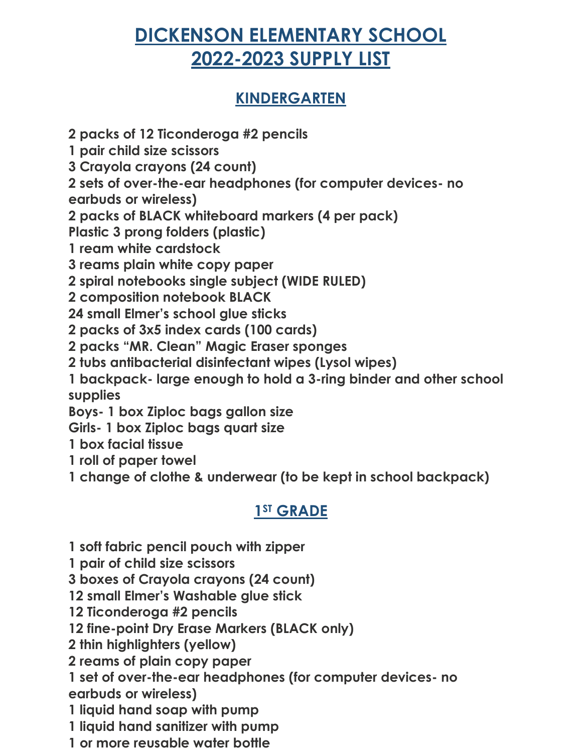# **DICKENSON ELEMENTARY SCHOOL 2022-2023 SUPPLY LIST**

# **KINDERGARTEN**

**2 packs of 12 Ticonderoga #2 pencils**

**1 pair child size scissors**

**3 Crayola crayons (24 count)**

**2 sets of over-the-ear headphones (for computer devices- no** 

**earbuds or wireless)**

**2 packs of BLACK whiteboard markers (4 per pack)**

**Plastic 3 prong folders (plastic)**

**1 ream white cardstock**

**3 reams plain white copy paper**

**2 spiral notebooks single subject (WIDE RULED)**

**2 composition notebook BLACK**

**24 small Elmer's school glue sticks**

**2 packs of 3x5 index cards (100 cards)**

**2 packs "MR. Clean" Magic Eraser sponges**

**2 tubs antibacterial disinfectant wipes (Lysol wipes)**

**1 backpack- large enough to hold a 3-ring binder and other school supplies**

**Boys- 1 box Ziploc bags gallon size**

**Girls- 1 box Ziploc bags quart size**

**1 box facial tissue**

**1 roll of paper towel**

**1 change of clothe & underwear (to be kept in school backpack)**

# **1ST GRADE**

**1 soft fabric pencil pouch with zipper**

**1 pair of child size scissors**

**3 boxes of Crayola crayons (24 count)**

**12 small Elmer's Washable glue stick**

**12 Ticonderoga #2 pencils**

**12 fine-point Dry Erase Markers (BLACK only)**

**2 thin highlighters (yellow)**

**2 reams of plain copy paper**

**1 set of over-the-ear headphones (for computer devices- no earbuds or wireless)**

**1 liquid hand soap with pump**

**1 liquid hand sanitizer with pump**

**1 or more reusable water bottle**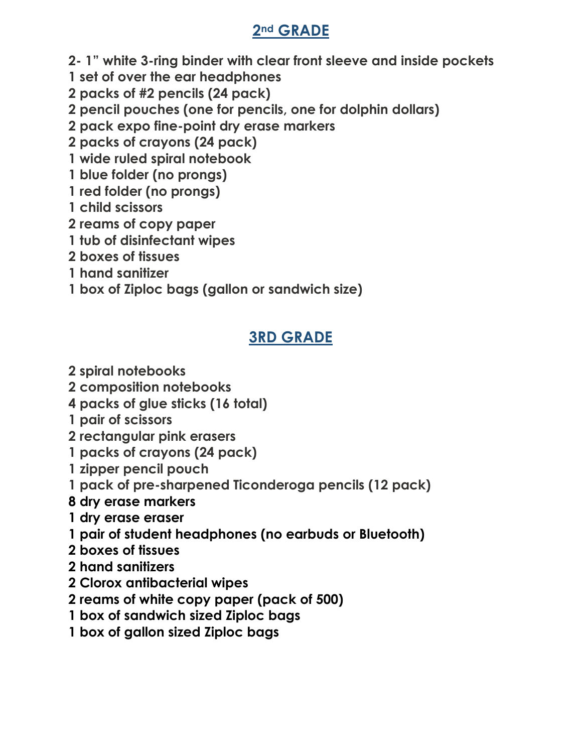### **2nd GRADE**

- **2- 1" white 3-ring binder with clear front sleeve and inside pockets**
- **1 set of over the ear headphones**
- **2 packs of #2 pencils (24 pack)**
- **2 pencil pouches (one for pencils, one for dolphin dollars)**
- **2 pack expo fine-point dry erase markers**
- **2 packs of crayons (24 pack)**
- **1 wide ruled spiral notebook**
- **1 blue folder (no prongs)**
- **1 red folder (no prongs)**
- **1 child scissors**
- **2 reams of copy paper**
- **1 tub of disinfectant wipes**
- **2 boxes of tissues**
- **1 hand sanitizer**
- **1 box of Ziploc bags (gallon or sandwich size)**

# **3RD GRADE**

- **2 spiral notebooks**
- **2 composition notebooks**
- **4 packs of glue sticks (16 total)**
- **1 pair of scissors**
- **2 rectangular pink erasers**
- **1 packs of crayons (24 pack)**
- **1 zipper pencil pouch**
- **1 pack of pre-sharpened Ticonderoga pencils (12 pack)**
- **8 dry erase markers**
- **1 dry erase eraser**
- **1 pair of student headphones (no earbuds or Bluetooth)**
- **2 boxes of tissues**
- **2 hand sanitizers**
- **2 Clorox antibacterial wipes**
- **2 reams of white copy paper (pack of 500)**
- **1 box of sandwich sized Ziploc bags**
- **1 box of gallon sized Ziploc bags**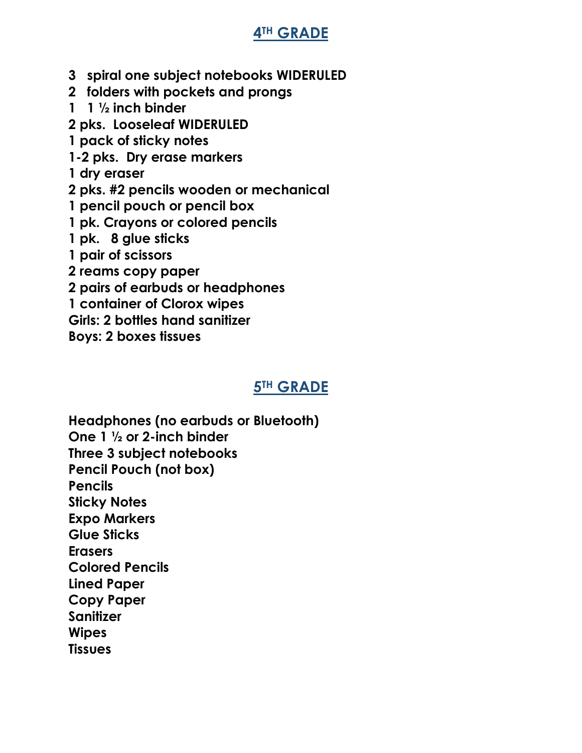### **4TH GRADE**

- **3 spiral one subject notebooks WIDERULED**
- **2 folders with pockets and prongs**
- **1 1 ½ inch binder**
- **2 pks. Looseleaf WIDERULED**
- **1 pack of sticky notes**
- **1-2 pks. Dry erase markers**
- **1 dry eraser**
- **2 pks. #2 pencils wooden or mechanical**
- **1 pencil pouch or pencil box**
- **1 pk. Crayons or colored pencils**
- **1 pk. 8 glue sticks**
- **1 pair of scissors**
- **2 reams copy paper**
- **2 pairs of earbuds or headphones**
- **1 container of Clorox wipes**
- **Girls: 2 bottles hand sanitizer**
- **Boys: 2 boxes tissues**

### **5TH GRADE**

**Headphones (no earbuds or Bluetooth) One 1 ½ or 2-inch binder Three 3 subject notebooks Pencil Pouch (not box) Pencils Sticky Notes Expo Markers Glue Sticks Erasers Colored Pencils Lined Paper Copy Paper Sanitizer Wipes Tissues**